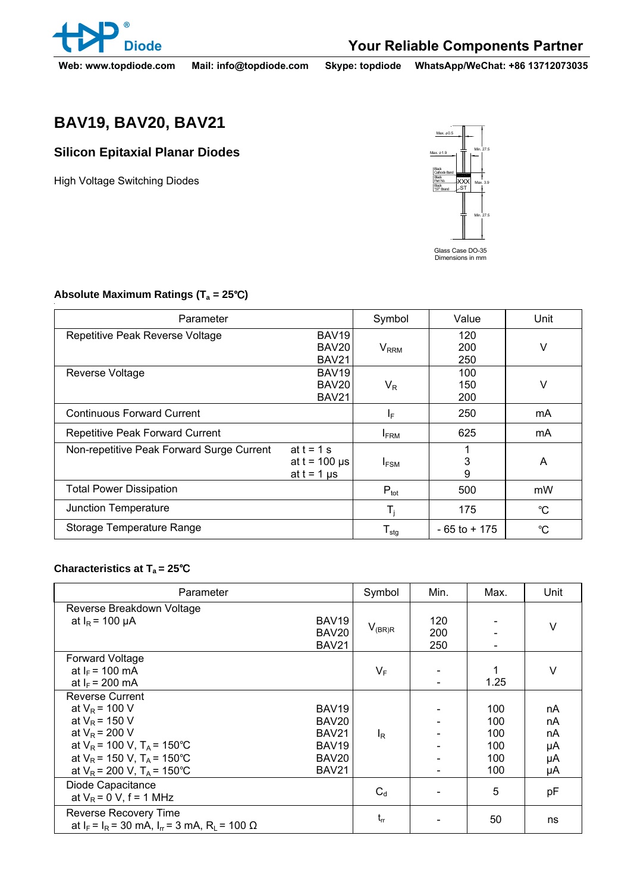

**Web: www.topdiode.com Mail: info@topdiode.com Skype: topdiode WhatsApp/WeChat: +86 13712073035**

## **BAV19, BAV20, BAV21**

### **Silicon Epitaxial Planar Diodes**

High Voltage Switching Diodes



#### **Absolute Maximum Ratings (Ta = 25**℃**)**

| Parameter                                 | Symbol                                                | Value                        |                   |    |
|-------------------------------------------|-------------------------------------------------------|------------------------------|-------------------|----|
| Repetitive Peak Reverse Voltage           | BAV <sub>19</sub><br>BAV20<br>BAV21                   | <b>V</b> <sub>RRM</sub>      | 120<br>200<br>250 | V  |
| Reverse Voltage                           | BAV <sub>19</sub><br>BAV <sub>20</sub><br>BAV21       | $V_{R}$                      | 100<br>150<br>200 | v  |
| <b>Continuous Forward Current</b>         |                                                       | IF.                          | 250               | mA |
| <b>Repetitive Peak Forward Current</b>    |                                                       | <b>IFRM</b>                  | 625               | mA |
| Non-repetitive Peak Forward Surge Current | at t = 1 $s$<br>at $t = 100$ $\mu s$<br>at $t = 1$ µs | <b>IFSM</b>                  | 3<br>9            | A  |
| <b>Total Power Dissipation</b>            |                                                       | $P_{\text{tot}}$             | 500               | mW |
| Junction Temperature                      |                                                       | $T_i$                        | 175               | °C |
| Storage Temperature Range                 |                                                       | ${\mathsf T}_{\textsf{stg}}$ | $-65$ to $+175$   | °C |

### **Characteristics at Ta = 25**℃

| Parameter                                                   |                   | Symbol      | Min. | Max. | Unit |
|-------------------------------------------------------------|-------------------|-------------|------|------|------|
| Reverse Breakdown Voltage                                   |                   |             |      |      |      |
| at $I_R$ = 100 $\mu$ A                                      | BAV <sub>19</sub> |             | 120  |      | V    |
|                                                             | BAV20             | $V_{(BR)R}$ | 200  |      |      |
|                                                             | BAV21             |             | 250  |      |      |
| <b>Forward Voltage</b>                                      |                   |             |      |      |      |
| at $I_F$ = 100 mA                                           |                   | $V_F$       |      |      | V    |
| at $I_F$ = 200 mA                                           |                   |             |      | 1.25 |      |
| <b>Reverse Current</b>                                      |                   |             |      |      |      |
| at $V_R$ = 100 V                                            | BAV <sub>19</sub> |             |      | 100  | nA   |
| at $V_R$ = 150 V                                            | BAV20             |             |      | 100  | nA   |
| at $V_R$ = 200 V                                            | BAV21             | $I_R$       |      | 100  | nA   |
| at $V_R$ = 100 V, T <sub>A</sub> = 150 °C                   | BAV <sub>19</sub> |             |      | 100  | μA   |
| at $V_R$ = 150 V, T <sub>A</sub> = 150 °C                   | BAV20             |             |      | 100  | μA   |
| at $V_R$ = 200 V, T <sub>A</sub> = 150 °C                   | BAV21             |             |      | 100  | μA   |
| Diode Capacitance                                           |                   |             |      |      |      |
| at $V_R$ = 0 V, f = 1 MHz                                   |                   | $C_d$       |      | 5    | pF   |
| Reverse Recovery Time                                       |                   | $t_{rr}$    |      | 50   | ns   |
| at $I_F = I_R = 30$ mA, $I_{rr} = 3$ mA, $R_L = 100 \Omega$ |                   |             |      |      |      |